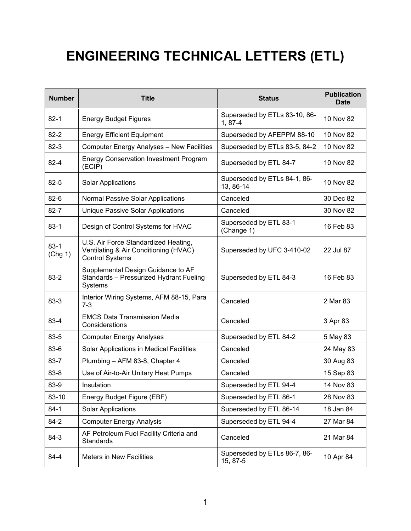## **ENGINEERING TECHNICAL LETTERS (ETL)**

| <b>Number</b>     | <b>Title</b>                                                                                            | <b>Status</b>                              | <b>Publication</b><br><b>Date</b> |
|-------------------|---------------------------------------------------------------------------------------------------------|--------------------------------------------|-----------------------------------|
| $82 - 1$          | <b>Energy Budget Figures</b>                                                                            | Superseded by ETLs 83-10, 86-<br>$1, 87-4$ | 10 Nov 82                         |
| $82 - 2$          | <b>Energy Efficient Equipment</b>                                                                       | Superseded by AFEPPM 88-10                 | 10 Nov 82                         |
| $82 - 3$          | <b>Computer Energy Analyses - New Facilities</b>                                                        | Superseded by ETLs 83-5, 84-2              | 10 Nov 82                         |
| $82 - 4$          | <b>Energy Conservation Investment Program</b><br>(ECIP)                                                 | Superseded by ETL 84-7                     | 10 Nov 82                         |
| $82 - 5$          | <b>Solar Applications</b>                                                                               | Superseded by ETLs 84-1, 86-<br>13, 86-14  | 10 Nov 82                         |
| $82-6$            | Normal Passive Solar Applications                                                                       | Canceled                                   | 30 Dec 82                         |
| $82 - 7$          | Unique Passive Solar Applications                                                                       | Canceled                                   | 30 Nov 82                         |
| $83 - 1$          | Design of Control Systems for HVAC                                                                      | Superseded by ETL 83-1<br>(Change 1)       | 16 Feb 83                         |
| $83-1$<br>(Chg 1) | U.S. Air Force Standardized Heating,<br>Ventilating & Air Conditioning (HVAC)<br><b>Control Systems</b> | Superseded by UFC 3-410-02                 | 22 Jul 87                         |
| $83 - 2$          | Supplemental Design Guidance to AF<br>Standards - Pressurized Hydrant Fueling<br><b>Systems</b>         | Superseded by ETL 84-3                     | 16 Feb 83                         |
| 83-3              | Interior Wiring Systems, AFM 88-15, Para<br>$7 - 3$                                                     | Canceled                                   | 2 Mar 83                          |
| 83-4              | <b>EMCS Data Transmission Media</b><br>Considerations                                                   | Canceled                                   | 3 Apr 83                          |
| 83-5              | <b>Computer Energy Analyses</b>                                                                         | Superseded by ETL 84-2                     | 5 May 83                          |
| 83-6              | Solar Applications in Medical Facilities                                                                | Canceled                                   | 24 May 83                         |
| $83 - 7$          | Plumbing - AFM 83-8, Chapter 4                                                                          | Canceled                                   | 30 Aug 83                         |
| $83 - 8$          | Use of Air-to-Air Unitary Heat Pumps                                                                    | Canceled                                   | 15 Sep 83                         |
| 83-9              | Insulation                                                                                              | Superseded by ETL 94-4                     | 14 Nov 83                         |
| 83-10             | Energy Budget Figure (EBF)                                                                              | Superseded by ETL 86-1                     | 28 Nov 83                         |
| $84-1$            | <b>Solar Applications</b>                                                                               | Superseded by ETL 86-14                    | 18 Jan 84                         |
| $84 - 2$          | <b>Computer Energy Analysis</b>                                                                         | Superseded by ETL 94-4                     | 27 Mar 84                         |
| 84-3              | AF Petroleum Fuel Facility Criteria and<br>Standards                                                    | Canceled                                   | 21 Mar 84                         |
| 84-4              | <b>Meters in New Facilities</b>                                                                         | Superseded by ETLs 86-7, 86-<br>15, 87-5   | 10 Apr 84                         |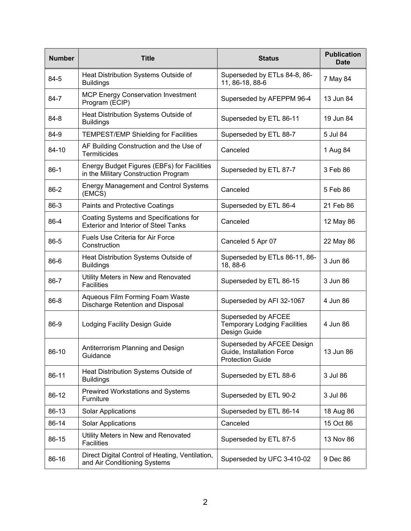| <b>Number</b> | <b>Title</b>                                                                          | <b>Status</b>                                                                      | <b>Publication</b><br><b>Date</b> |
|---------------|---------------------------------------------------------------------------------------|------------------------------------------------------------------------------------|-----------------------------------|
| 84-5          | Heat Distribution Systems Outside of<br><b>Buildings</b>                              | Superseded by ETLs 84-8, 86-<br>11, 86-18, 88-6                                    | 7 May 84                          |
| $84 - 7$      | <b>MCP Energy Conservation Investment</b><br>Program (ECIP)                           | Superseded by AFEPPM 96-4                                                          | 13 Jun 84                         |
| 84-8          | Heat Distribution Systems Outside of<br><b>Buildings</b>                              | Superseded by ETL 86-11                                                            | 19 Jun 84                         |
| 84-9          | <b>TEMPEST/EMP Shielding for Facilities</b>                                           | Superseded by ETL 88-7                                                             | 5 Jul 84                          |
| 84-10         | AF Building Construction and the Use of<br>Termiticides                               | Canceled                                                                           | 1 Aug 84                          |
| $86-1$        | Energy Budget Figures (EBFs) for Facilities<br>in the Military Construction Program   | Superseded by ETL 87-7                                                             | 3 Feb 86                          |
| $86-2$        | <b>Energy Management and Control Systems</b><br>(EMCS)                                | Canceled                                                                           | 5 Feb 86                          |
| 86-3          | <b>Paints and Protective Coatings</b>                                                 | Superseded by ETL 86-4                                                             | 21 Feb 86                         |
| 86-4          | Coating Systems and Specifications for<br><b>Exterior and Interior of Steel Tanks</b> | Canceled                                                                           | 12 May 86                         |
| 86-5          | <b>Fuels Use Criteria for Air Force</b><br>Construction                               | Canceled 5 Apr 07                                                                  | 22 May 86                         |
| 86-6          | Heat Distribution Systems Outside of<br><b>Buildings</b>                              | Superseded by ETLs 86-11, 86-<br>18, 88-6                                          | 3 Jun 86                          |
| 86-7          | Utility Meters in New and Renovated<br><b>Facilities</b>                              | Superseded by ETL 86-15                                                            | 3 Jun 86                          |
| 86-8          | Aqueous Film Forming Foam Waste<br>Discharge Retention and Disposal                   | Superseded by AFI 32-1067                                                          | 4 Jun 86                          |
| 86-9          | Lodging Facility Design Guide                                                         | Superseded by AFCEE<br><b>Temporary Lodging Facilities</b><br>Design Guide         | 4 Jun 86                          |
| 86-10         | Antiterrorism Planning and Design<br>Guidance                                         | Superseded by AFCEE Design<br>Guide, Installation Force<br><b>Protection Guide</b> | 13 Jun 86                         |
| 86-11         | Heat Distribution Systems Outside of<br><b>Buildings</b>                              | Superseded by ETL 88-6                                                             | 3 Jul 86                          |
| 86-12         | <b>Prewired Workstations and Systems</b><br>Furniture                                 | Superseded by ETL 90-2                                                             | 3 Jul 86                          |
| 86-13         | <b>Solar Applications</b>                                                             | Superseded by ETL 86-14                                                            | 18 Aug 86                         |
| 86-14         | <b>Solar Applications</b>                                                             | Canceled                                                                           | 15 Oct 86                         |
| 86-15         | Utility Meters in New and Renovated<br><b>Facilities</b>                              | Superseded by ETL 87-5                                                             | 13 Nov 86                         |
| 86-16         | Direct Digital Control of Heating, Ventilation,<br>and Air Conditioning Systems       | Superseded by UFC 3-410-02                                                         | 9 Dec 86                          |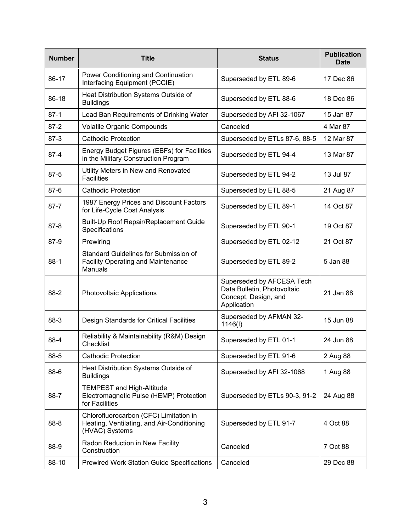| <b>Number</b> | <b>Title</b>                                                                                           | <b>Status</b>                                                                                   | <b>Publication</b><br><b>Date</b> |
|---------------|--------------------------------------------------------------------------------------------------------|-------------------------------------------------------------------------------------------------|-----------------------------------|
| 86-17         | Power Conditioning and Continuation<br>Interfacing Equipment (PCCIE)                                   | Superseded by ETL 89-6                                                                          | 17 Dec 86                         |
| 86-18         | Heat Distribution Systems Outside of<br><b>Buildings</b>                                               | Superseded by ETL 88-6                                                                          | 18 Dec 86                         |
| $87-1$        | Lead Ban Requirements of Drinking Water                                                                | Superseded by AFI 32-1067                                                                       | 15 Jan 87                         |
| $87 - 2$      | Volatile Organic Compounds                                                                             | Canceled                                                                                        | 4 Mar 87                          |
| $87-3$        | <b>Cathodic Protection</b>                                                                             | Superseded by ETLs 87-6, 88-5                                                                   | 12 Mar 87                         |
| $87 - 4$      | Energy Budget Figures (EBFs) for Facilities<br>in the Military Construction Program                    | Superseded by ETL 94-4                                                                          | 13 Mar 87                         |
| $87 - 5$      | Utility Meters in New and Renovated<br><b>Facilities</b>                                               | Superseded by ETL 94-2                                                                          | 13 Jul 87                         |
| $87-6$        | <b>Cathodic Protection</b>                                                                             | Superseded by ETL 88-5                                                                          | 21 Aug 87                         |
| $87 - 7$      | 1987 Energy Prices and Discount Factors<br>for Life-Cycle Cost Analysis                                | Superseded by ETL 89-1                                                                          | 14 Oct 87                         |
| $87 - 8$      | Built-Up Roof Repair/Replacement Guide<br>Specifications                                               | Superseded by ETL 90-1                                                                          | 19 Oct 87                         |
| 87-9          | Prewiring                                                                                              | Superseded by ETL 02-12                                                                         | 21 Oct 87                         |
| $88-1$        | Standard Guidelines for Submission of<br><b>Facility Operating and Maintenance</b><br>Manuals          | Superseded by ETL 89-2                                                                          | 5 Jan 88                          |
| 88-2          | Photovoltaic Applications                                                                              | Superseded by AFCESA Tech<br>Data Bulletin, Photovoltaic<br>Concept, Design, and<br>Application | 21 Jan 88                         |
| 88-3          | Design Standards for Critical Facilities                                                               | Superseded by AFMAN 32-<br>1146(l)                                                              | 15 Jun 88                         |
| 88-4          | Reliability & Maintainability (R&M) Design<br>Checklist                                                | Superseded by ETL 01-1                                                                          | 24 Jun 88                         |
| 88-5          | <b>Cathodic Protection</b>                                                                             | Superseded by ETL 91-6                                                                          | 2 Aug 88                          |
| 88-6          | Heat Distribution Systems Outside of<br><b>Buildings</b>                                               | Superseded by AFI 32-1068                                                                       | 1 Aug 88                          |
| 88-7          | <b>TEMPEST and High-Altitude</b><br>Electromagnetic Pulse (HEMP) Protection<br>for Facilities          | Superseded by ETLs 90-3, 91-2                                                                   | 24 Aug 88                         |
| 88-8          | Chlorofluorocarbon (CFC) Limitation in<br>Heating, Ventilating, and Air-Conditioning<br>(HVAC) Systems | Superseded by ETL 91-7                                                                          | 4 Oct 88                          |
| 88-9          | Radon Reduction in New Facility<br>Construction                                                        | Canceled                                                                                        | 7 Oct 88                          |
| 88-10         | <b>Prewired Work Station Guide Specifications</b>                                                      | Canceled                                                                                        | 29 Dec 88                         |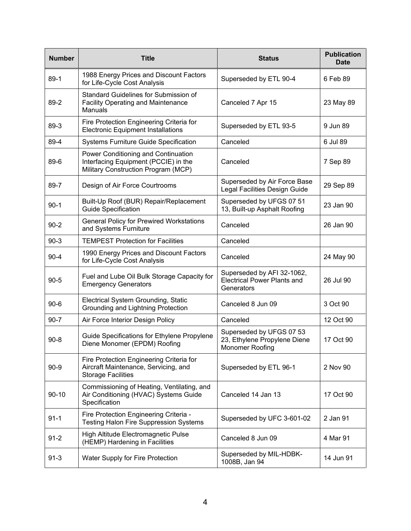| <b>Number</b> | <b>Title</b>                                                                                                       | <b>Status</b>                                                                  | <b>Publication</b><br><b>Date</b> |
|---------------|--------------------------------------------------------------------------------------------------------------------|--------------------------------------------------------------------------------|-----------------------------------|
| $89-1$        | 1988 Energy Prices and Discount Factors<br>for Life-Cycle Cost Analysis                                            | Superseded by ETL 90-4                                                         | 6 Feb 89                          |
| 89-2          | Standard Guidelines for Submission of<br><b>Facility Operating and Maintenance</b><br>Manuals                      | Canceled 7 Apr 15                                                              | 23 May 89                         |
| 89-3          | Fire Protection Engineering Criteria for<br><b>Electronic Equipment Installations</b>                              | Superseded by ETL 93-5                                                         | 9 Jun 89                          |
| 89-4          | <b>Systems Furniture Guide Specification</b>                                                                       | Canceled                                                                       | 6 Jul 89                          |
| 89-6          | Power Conditioning and Continuation<br>Interfacing Equipment (PCCIE) in the<br>Military Construction Program (MCP) | Canceled                                                                       | 7 Sep 89                          |
| 89-7          | Design of Air Force Courtrooms                                                                                     | Superseded by Air Force Base<br>Legal Facilities Design Guide                  | 29 Sep 89                         |
| $90-1$        | Built-Up Roof (BUR) Repair/Replacement<br><b>Guide Specification</b>                                               | Superseded by UFGS 07 51<br>13, Built-up Asphalt Roofing                       | 23 Jan 90                         |
| $90 - 2$      | <b>General Policy for Prewired Workstations</b><br>and Systems Furniture                                           | Canceled                                                                       | 26 Jan 90                         |
| $90-3$        | <b>TEMPEST Protection for Facilities</b>                                                                           | Canceled                                                                       |                                   |
| $90 - 4$      | 1990 Energy Prices and Discount Factors<br>for Life-Cycle Cost Analysis                                            | Canceled                                                                       | 24 May 90                         |
| $90 - 5$      | Fuel and Lube Oil Bulk Storage Capacity for<br><b>Emergency Generators</b>                                         | Superseded by AFI 32-1062,<br><b>Electrical Power Plants and</b><br>Generators | 26 Jul 90                         |
| $90 - 6$      | Electrical System Grounding, Static<br>Grounding and Lightning Protection                                          | Canceled 8 Jun 09                                                              | 3 Oct 90                          |
| $90 - 7$      | Air Force Interior Design Policy                                                                                   | Canceled                                                                       | 12 Oct 90                         |
| $90 - 8$      | Guide Specifications for Ethylene Propylene<br>Diene Monomer (EPDM) Roofing                                        | Superseded by UFGS 07 53<br>23, Ethylene Propylene Diene<br>Monomer Roofing    | 17 Oct 90                         |
| $90 - 9$      | Fire Protection Engineering Criteria for<br>Aircraft Maintenance, Servicing, and<br><b>Storage Facilities</b>      | Superseded by ETL 96-1                                                         | 2 Nov 90                          |
| $90 - 10$     | Commissioning of Heating, Ventilating, and<br>Air Conditioning (HVAC) Systems Guide<br>Specification               | Canceled 14 Jan 13                                                             | 17 Oct 90                         |
| $91 - 1$      | Fire Protection Engineering Criteria -<br><b>Testing Halon Fire Suppression Systems</b>                            | Superseded by UFC 3-601-02                                                     | 2 Jan 91                          |
| $91 - 2$      | High Altitude Electromagnetic Pulse<br>(HEMP) Hardening in Facilities                                              | Canceled 8 Jun 09                                                              | 4 Mar 91                          |
| $91 - 3$      | Water Supply for Fire Protection                                                                                   | Superseded by MIL-HDBK-<br>1008B, Jan 94                                       | 14 Jun 91                         |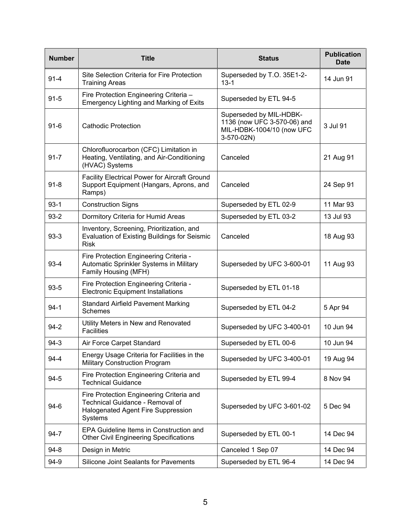| <b>Number</b> | <b>Title</b>                                                                                                                        | <b>Status</b>                                                                                     | <b>Publication</b><br><b>Date</b> |
|---------------|-------------------------------------------------------------------------------------------------------------------------------------|---------------------------------------------------------------------------------------------------|-----------------------------------|
| $91 - 4$      | Site Selection Criteria for Fire Protection<br><b>Training Areas</b>                                                                | Superseded by T.O. 35E1-2-<br>$13 - 1$                                                            | 14 Jun 91                         |
| $91 - 5$      | Fire Protection Engineering Criteria -<br><b>Emergency Lighting and Marking of Exits</b>                                            | Superseded by ETL 94-5                                                                            |                                   |
| $91 - 6$      | <b>Cathodic Protection</b>                                                                                                          | Superseded by MIL-HDBK-<br>1136 (now UFC 3-570-06) and<br>MIL-HDBK-1004/10 (now UFC<br>3-570-02N) | 3 Jul 91                          |
| $91 - 7$      | Chlorofluorocarbon (CFC) Limitation in<br>Heating, Ventilating, and Air-Conditioning<br>(HVAC) Systems                              | Canceled                                                                                          | 21 Aug 91                         |
| $91 - 8$      | <b>Facility Electrical Power for Aircraft Ground</b><br>Support Equipment (Hangars, Aprons, and<br>Ramps)                           | Canceled                                                                                          | 24 Sep 91                         |
| $93-1$        | <b>Construction Signs</b>                                                                                                           | Superseded by ETL 02-9                                                                            | 11 Mar 93                         |
| $93-2$        | Dormitory Criteria for Humid Areas                                                                                                  | Superseded by ETL 03-2                                                                            | 13 Jul 93                         |
| $93-3$        | Inventory, Screening, Prioritization, and<br><b>Evaluation of Existing Buildings for Seismic</b><br><b>Risk</b>                     | Canceled                                                                                          | 18 Aug 93                         |
| $93-4$        | Fire Protection Engineering Criteria -<br>Automatic Sprinkler Systems in Military<br>Family Housing (MFH)                           | Superseded by UFC 3-600-01                                                                        | 11 Aug 93                         |
| $93 - 5$      | Fire Protection Engineering Criteria -<br><b>Electronic Equipment Installations</b>                                                 | Superseded by ETL 01-18                                                                           |                                   |
| $94 - 1$      | <b>Standard Airfield Pavement Marking</b><br><b>Schemes</b>                                                                         | Superseded by ETL 04-2                                                                            | 5 Apr 94                          |
| $94-2$        | Utility Meters in New and Renovated<br><b>Facilities</b>                                                                            | Superseded by UFC 3-400-01                                                                        | 10 Jun 94                         |
| $94-3$        | Air Force Carpet Standard                                                                                                           | Superseded by ETL 00-6                                                                            | 10 Jun 94                         |
| $94 - 4$      | Energy Usage Criteria for Facilities in the<br><b>Military Construction Program</b>                                                 | Superseded by UFC 3-400-01                                                                        | 19 Aug 94                         |
| $94 - 5$      | Fire Protection Engineering Criteria and<br><b>Technical Guidance</b>                                                               | Superseded by ETL 99-4                                                                            | 8 Nov 94                          |
| $94-6$        | Fire Protection Engineering Criteria and<br>Technical Guidance - Removal of<br><b>Halogenated Agent Fire Suppression</b><br>Systems | Superseded by UFC 3-601-02                                                                        | 5 Dec 94                          |
| $94 - 7$      | EPA Guideline Items in Construction and<br><b>Other Civil Engineering Specifications</b>                                            | Superseded by ETL 00-1                                                                            | 14 Dec 94                         |
| $94 - 8$      | Design in Metric                                                                                                                    | Canceled 1 Sep 07                                                                                 | 14 Dec 94                         |
| 94-9          | Silicone Joint Sealants for Pavements                                                                                               | Superseded by ETL 96-4                                                                            | 14 Dec 94                         |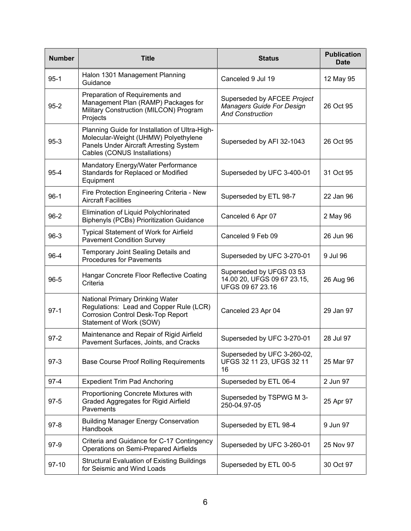| <b>Number</b> | <b>Title</b>                                                                                                                                                     | <b>Status</b>                                                                              | <b>Publication</b><br><b>Date</b> |
|---------------|------------------------------------------------------------------------------------------------------------------------------------------------------------------|--------------------------------------------------------------------------------------------|-----------------------------------|
| $95 - 1$      | Halon 1301 Management Planning<br>Guidance                                                                                                                       | Canceled 9 Jul 19                                                                          | 12 May 95                         |
| $95 - 2$      | Preparation of Requirements and<br>Management Plan (RAMP) Packages for<br>Military Construction (MILCON) Program<br>Projects                                     | Superseded by AFCEE Project<br><b>Managers Guide For Design</b><br><b>And Construction</b> | 26 Oct 95                         |
| $95-3$        | Planning Guide for Installation of Ultra-High-<br>Molecular-Weight (UHMW) Polyethylene<br>Panels Under Aircraft Arresting System<br>Cables (CONUS Installations) | Superseded by AFI 32-1043                                                                  | 26 Oct 95                         |
| $95 - 4$      | Mandatory Energy/Water Performance<br>Standards for Replaced or Modified<br>Equipment                                                                            | Superseded by UFC 3-400-01                                                                 | 31 Oct 95                         |
| $96-1$        | Fire Protection Engineering Criteria - New<br><b>Aircraft Facilities</b>                                                                                         | Superseded by ETL 98-7                                                                     | 22 Jan 96                         |
| $96 - 2$      | Elimination of Liquid Polychlorinated<br><b>Biphenyls (PCBs) Prioritization Guidance</b>                                                                         | Canceled 6 Apr 07                                                                          | 2 May 96                          |
| $96-3$        | <b>Typical Statement of Work for Airfield</b><br><b>Pavement Condition Survey</b>                                                                                | Canceled 9 Feb 09                                                                          | 26 Jun 96                         |
| 96-4          | Temporary Joint Sealing Details and<br><b>Procedures for Pavements</b>                                                                                           | Superseded by UFC 3-270-01                                                                 | 9 Jul 96                          |
| $96 - 5$      | Hangar Concrete Floor Reflective Coating<br>Criteria                                                                                                             | Superseded by UFGS 03 53<br>14.00 20, UFGS 09 67 23.15,<br>UFGS 09 67 23.16                | 26 Aug 96                         |
| $97-1$        | National Primary Drinking Water<br>Regulations: Lead and Copper Rule (LCR)<br><b>Corrosion Control Desk-Top Report</b><br>Statement of Work (SOW)                | Canceled 23 Apr 04                                                                         | 29 Jan 97                         |
| $97 - 2$      | Maintenance and Repair of Rigid Airfield<br>Pavement Surfaces, Joints, and Cracks                                                                                | Superseded by UFC 3-270-01                                                                 | 28 Jul 97                         |
| $97-3$        | <b>Base Course Proof Rolling Requirements</b>                                                                                                                    | Superseded by UFC 3-260-02,<br>UFGS 32 11 23, UFGS 32 11<br>16                             | 25 Mar 97                         |
| $97 - 4$      | <b>Expedient Trim Pad Anchoring</b>                                                                                                                              | Superseded by ETL 06-4                                                                     | 2 Jun 97                          |
| $97-5$        | Proportioning Concrete Mixtures with<br>Graded Aggregates for Rigid Airfield<br>Pavements                                                                        | Superseded by TSPWG M 3-<br>250-04.97-05                                                   | 25 Apr 97                         |
| $97 - 8$      | <b>Building Manager Energy Conservation</b><br>Handbook                                                                                                          | Superseded by ETL 98-4                                                                     | 9 Jun 97                          |
| $97-9$        | Criteria and Guidance for C-17 Contingency<br>Operations on Semi-Prepared Airfields                                                                              | Superseded by UFC 3-260-01                                                                 | 25 Nov 97                         |
| $97-10$       | <b>Structural Evaluation of Existing Buildings</b><br>for Seismic and Wind Loads                                                                                 | Superseded by ETL 00-5                                                                     | 30 Oct 97                         |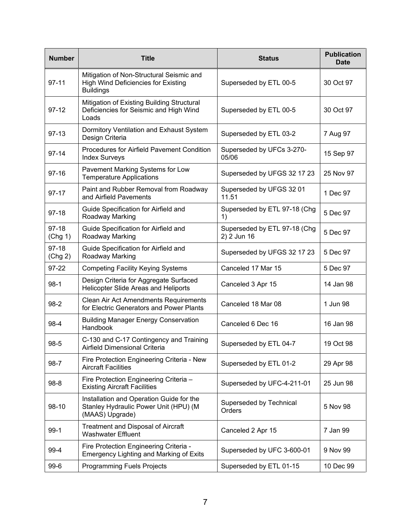| <b>Number</b>      | <b>Title</b>                                                                                               | <b>Status</b>                               | <b>Publication</b><br><b>Date</b> |
|--------------------|------------------------------------------------------------------------------------------------------------|---------------------------------------------|-----------------------------------|
| $97 - 11$          | Mitigation of Non-Structural Seismic and<br><b>High Wind Deficiencies for Existing</b><br><b>Buildings</b> | Superseded by ETL 00-5                      | 30 Oct 97                         |
| $97-12$            | Mitigation of Existing Building Structural<br>Deficiencies for Seismic and High Wind<br>Loads              | Superseded by ETL 00-5                      | 30 Oct 97                         |
| $97-13$            | Dormitory Ventilation and Exhaust System<br>Design Criteria                                                | Superseded by ETL 03-2                      | 7 Aug 97                          |
| $97 - 14$          | <b>Procedures for Airfield Pavement Condition</b><br><b>Index Surveys</b>                                  | Superseded by UFCs 3-270-<br>05/06          | 15 Sep 97                         |
| $97 - 16$          | Pavement Marking Systems for Low<br><b>Temperature Applications</b>                                        | Superseded by UFGS 32 17 23                 | 25 Nov 97                         |
| 97-17              | Paint and Rubber Removal from Roadway<br>and Airfield Pavements                                            | Superseded by UFGS 32 01<br>11.51           | 1 Dec 97                          |
| 97-18              | Guide Specification for Airfield and<br>Roadway Marking                                                    | Superseded by ETL 97-18 (Chg<br>1)          | 5 Dec 97                          |
| $97-18$<br>(Chg 1) | Guide Specification for Airfield and<br>Roadway Marking                                                    | Superseded by ETL 97-18 (Chg<br>2) 2 Jun 16 | 5 Dec 97                          |
| $97-18$<br>(Chg 2) | Guide Specification for Airfield and<br>Roadway Marking                                                    | Superseded by UFGS 32 17 23                 | 5 Dec 97                          |
| 97-22              | <b>Competing Facility Keying Systems</b>                                                                   | Canceled 17 Mar 15                          | 5 Dec 97                          |
| $98-1$             | Design Criteria for Aggregate Surfaced<br>Helicopter Slide Areas and Heliports                             | Canceled 3 Apr 15                           | 14 Jan 98                         |
| 98-2               | <b>Clean Air Act Amendments Requirements</b><br>for Electric Generators and Power Plants                   | Canceled 18 Mar 08                          | 1 Jun 98                          |
| 98-4               | <b>Building Manager Energy Conservation</b><br>Handbook                                                    | Canceled 6 Dec 16                           | 16 Jan 98                         |
| $98 - 5$           | C-130 and C-17 Contingency and Training<br>Airfield Dimensional Criteria                                   | Superseded by ETL 04-7                      | 19 Oct 98                         |
| 98-7               | Fire Protection Engineering Criteria - New<br><b>Aircraft Facilities</b>                                   | Superseded by ETL 01-2                      | 29 Apr 98                         |
| $98-8$             | Fire Protection Engineering Criteria -<br><b>Existing Aircraft Facilities</b>                              | Superseded by UFC-4-211-01                  | 25 Jun 98                         |
| $98-10$            | Installation and Operation Guide for the<br>Stanley Hydraulic Power Unit (HPU) (M<br>(MAAS) Upgrade)       | Superseded by Technical<br>Orders           | 5 Nov 98                          |
| $99-1$             | Treatment and Disposal of Aircraft<br><b>Washwater Effluent</b>                                            | Canceled 2 Apr 15                           | 7 Jan 99                          |
| 99-4               | Fire Protection Engineering Criteria -<br><b>Emergency Lighting and Marking of Exits</b>                   | Superseded by UFC 3-600-01                  | 9 Nov 99                          |
| $99-6$             | Programming Fuels Projects                                                                                 | Superseded by ETL 01-15                     | 10 Dec 99                         |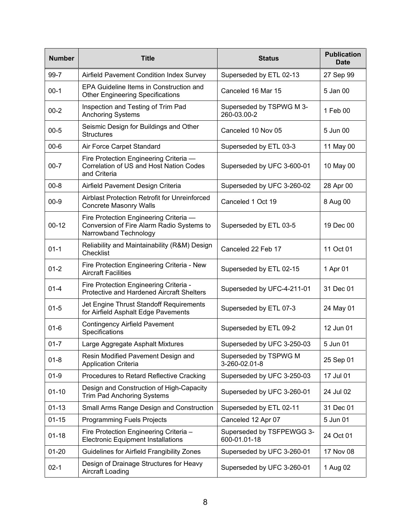| <b>Number</b> | <b>Title</b>                                                                                                 | <b>Status</b>                             | <b>Publication</b><br><b>Date</b> |
|---------------|--------------------------------------------------------------------------------------------------------------|-------------------------------------------|-----------------------------------|
| 99-7          | Airfield Pavement Condition Index Survey                                                                     | Superseded by ETL 02-13                   | 27 Sep 99                         |
| $00-1$        | EPA Guideline Items in Construction and<br><b>Other Engineering Specifications</b>                           | Canceled 16 Mar 15                        | 5 Jan 00                          |
| $00 - 2$      | Inspection and Testing of Trim Pad<br><b>Anchoring Systems</b>                                               | Superseded by TSPWG M 3-<br>260-03.00-2   | 1 Feb 00                          |
| $00 - 5$      | Seismic Design for Buildings and Other<br><b>Structures</b>                                                  | Canceled 10 Nov 05                        | 5 Jun 00                          |
| $00 - 6$      | Air Force Carpet Standard                                                                                    | Superseded by ETL 03-3                    | 11 May 00                         |
| $00 - 7$      | Fire Protection Engineering Criteria -<br>Correlation of US and Host Nation Codes<br>and Criteria            | Superseded by UFC 3-600-01                | 10 May 00                         |
| $00 - 8$      | Airfield Pavement Design Criteria                                                                            | Superseded by UFC 3-260-02                | 28 Apr 00                         |
| $00 - 9$      | Airblast Protection Retrofit for Unreinforced<br><b>Concrete Masonry Walls</b>                               | Canceled 1 Oct 19                         | 8 Aug 00                          |
| $00 - 12$     | Fire Protection Engineering Criteria -<br>Conversion of Fire Alarm Radio Systems to<br>Narrowband Technology | Superseded by ETL 03-5                    | 19 Dec 00                         |
| $01 - 1$      | Reliability and Maintainability (R&M) Design<br>Checklist                                                    | Canceled 22 Feb 17                        | 11 Oct 01                         |
| $01 - 2$      | Fire Protection Engineering Criteria - New<br><b>Aircraft Facilities</b>                                     | Superseded by ETL 02-15                   | 1 Apr 01                          |
| $01 - 4$      | Fire Protection Engineering Criteria -<br>Protective and Hardened Aircraft Shelters                          | Superseded by UFC-4-211-01                | 31 Dec 01                         |
| $01 - 5$      | Jet Engine Thrust Standoff Requirements<br>for Airfield Asphalt Edge Pavements                               | Superseded by ETL 07-3                    | 24 May 01                         |
| $01 - 6$      | <b>Contingency Airfield Pavement</b><br>Specifications                                                       | Superseded by ETL 09-2                    | 12 Jun 01                         |
| $01 - 7$      | Large Aggregate Asphalt Mixtures                                                                             | Superseded by UFC 3-250-03                | 5 Jun 01                          |
| $01 - 8$      | Resin Modified Pavement Design and<br><b>Application Criteria</b>                                            | Superseded by TSPWG M<br>3-260-02.01-8    | 25 Sep 01                         |
| $01 - 9$      | Procedures to Retard Reflective Cracking                                                                     | Superseded by UFC 3-250-03                | 17 Jul 01                         |
| $01 - 10$     | Design and Construction of High-Capacity<br><b>Trim Pad Anchoring Systems</b>                                | Superseded by UFC 3-260-01                | 24 Jul 02                         |
| $01 - 13$     | Small Arms Range Design and Construction                                                                     | Superseded by ETL 02-11                   | 31 Dec 01                         |
| $01 - 15$     | <b>Programming Fuels Projects</b>                                                                            | Canceled 12 Apr 07                        | 5 Jun 01                          |
| $01 - 18$     | Fire Protection Engineering Criteria -<br><b>Electronic Equipment Installations</b>                          | Superseded by TSFPEWGG 3-<br>600-01.01-18 | 24 Oct 01                         |
| $01 - 20$     | Guidelines for Airfield Frangibility Zones                                                                   | Superseded by UFC 3-260-01                | 17 Nov 08                         |
| $02 - 1$      | Design of Drainage Structures for Heavy<br>Aircraft Loading                                                  | Superseded by UFC 3-260-01                | 1 Aug 02                          |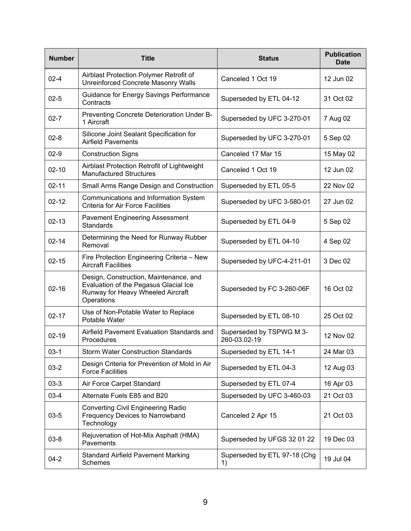| <b>Number</b> | <b>Title</b>                                                                                                                       | <b>Status</b>                            | <b>Publication</b><br><b>Date</b> |
|---------------|------------------------------------------------------------------------------------------------------------------------------------|------------------------------------------|-----------------------------------|
| $02 - 4$      | Airblast Protection Polymer Retrofit of<br>Unreinforced Concrete Masonry Walls                                                     | Canceled 1 Oct 19                        | 12 Jun 02                         |
| $02 - 5$      | Guidance for Energy Savings Performance<br>Contracts                                                                               | Superseded by ETL 04-12                  | 31 Oct 02                         |
| $02 - 7$      | Preventing Concrete Deterioration Under B-<br>1 Aircraft                                                                           | Superseded by UFC 3-270-01               | 7 Aug 02                          |
| $02 - 8$      | Silicone Joint Sealant Specification for<br><b>Airfield Pavements</b>                                                              | Superseded by UFC 3-270-01               | 5 Sep 02                          |
| $02-9$        | <b>Construction Signs</b>                                                                                                          | Canceled 17 Mar 15                       | 15 May 02                         |
| $02 - 10$     | Airblast Protection Retrofit of Lightweight<br><b>Manufactured Structures</b>                                                      | Canceled 1 Oct 19                        | 12 Jun 02                         |
| $02 - 11$     | Small Arms Range Design and Construction                                                                                           | Superseded by ETL 05-5                   | 22 Nov 02                         |
| $02 - 12$     | Communications and Information System<br><b>Criteria for Air Force Facilities</b>                                                  | Superseded by UFC 3-580-01               | 27 Jun 02                         |
| $02 - 13$     | <b>Pavement Engineering Assessment</b><br>Standards                                                                                | Superseded by ETL 04-9                   | 5 Sep 02                          |
| $02 - 14$     | Determining the Need for Runway Rubber<br>Removal                                                                                  | Superseded by ETL 04-10                  | 4 Sep 02                          |
| $02 - 15$     | Fire Protection Engineering Criteria - New<br><b>Aircraft Facilities</b>                                                           | Superseded by UFC-4-211-01               | 3 Dec 02                          |
| $02 - 16$     | Design, Construction, Maintenance, and<br>Evaluation of the Pegasus Glacial Ice<br>Runway for Heavy Wheeled Aircraft<br>Operations | Superseded by FC 3-260-06F               | 16 Oct 02                         |
| $02 - 17$     | Use of Non-Potable Water to Replace<br>Potable Water                                                                               | Superseded by ETL 08-10                  | 25 Oct 02                         |
| $02 - 19$     | Airfield Pavement Evaluation Standards and<br>Procedures                                                                           | Superseded by TSPWG M 3-<br>260-03.02-19 | 12 Nov 02                         |
| $03-1$        | <b>Storm Water Construction Standards</b>                                                                                          | Superseded by ETL 14-1                   | 24 Mar 03                         |
| $03-2$        | Design Criteria for Prevention of Mold in Air<br><b>Force Facilities</b>                                                           | Superseded by ETL 04-3                   | 12 Aug 03                         |
| $03-3$        | Air Force Carpet Standard                                                                                                          | Superseded by ETL 07-4                   | 16 Apr 03                         |
| $03-4$        | Alternate Fuels E85 and B20                                                                                                        | Superseded by UFC 3-460-03               | 21 Oct 03                         |
| $03 - 5$      | <b>Converting Civil Engineering Radio</b><br>Frequency Devices to Narrowband<br>Technology                                         | Canceled 2 Apr 15                        | 21 Oct 03                         |
| $03 - 8$      | Rejuvenation of Hot-Mix Asphalt (HMA)<br>Pavements                                                                                 | Superseded by UFGS 32 01 22              | 19 Dec 03                         |
| $04 - 2$      | <b>Standard Airfield Pavement Marking</b><br>Schemes                                                                               | Superseded by ETL 97-18 (Chg<br>1)       | 19 Jul 04                         |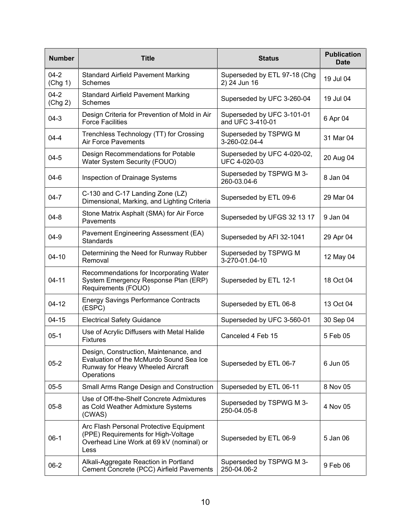| <b>Number</b>       | <b>Title</b>                                                                                                                         | <b>Status</b>                                  | <b>Publication</b><br><b>Date</b> |
|---------------------|--------------------------------------------------------------------------------------------------------------------------------------|------------------------------------------------|-----------------------------------|
| $04 - 2$<br>(Chg 1) | <b>Standard Airfield Pavement Marking</b><br>Schemes                                                                                 | Superseded by ETL 97-18 (Chg<br>2) 24 Jun 16   | 19 Jul 04                         |
| $04 - 2$<br>(Chg 2) | <b>Standard Airfield Pavement Marking</b><br><b>Schemes</b>                                                                          | Superseded by UFC 3-260-04                     | 19 Jul 04                         |
| $04 - 3$            | Design Criteria for Prevention of Mold in Air<br><b>Force Facilities</b>                                                             | Superseded by UFC 3-101-01<br>and UFC 3-410-01 | 6 Apr 04                          |
| $04 - 4$            | Trenchless Technology (TT) for Crossing<br><b>Air Force Pavements</b>                                                                | Superseded by TSPWG M<br>3-260-02.04-4         | 31 Mar 04                         |
| $04 - 5$            | Design Recommendations for Potable<br>Water System Security (FOUO)                                                                   | Superseded by UFC 4-020-02,<br>UFC 4-020-03    | 20 Aug 04                         |
| $04-6$              | Inspection of Drainage Systems                                                                                                       | Superseded by TSPWG M 3-<br>260-03.04-6        | 8 Jan 04                          |
| $04 - 7$            | C-130 and C-17 Landing Zone (LZ)<br>Dimensional, Marking, and Lighting Criteria                                                      | Superseded by ETL 09-6                         | 29 Mar 04                         |
| $04 - 8$            | Stone Matrix Asphalt (SMA) for Air Force<br>Pavements                                                                                | Superseded by UFGS 32 13 17                    | 9 Jan 04                          |
| $04 - 9$            | Pavement Engineering Assessment (EA)<br><b>Standards</b>                                                                             | Superseded by AFI 32-1041                      | 29 Apr 04                         |
| $04 - 10$           | Determining the Need for Runway Rubber<br>Removal                                                                                    | Superseded by TSPWG M<br>3-270-01.04-10        | 12 May 04                         |
| $04 - 11$           | Recommendations for Incorporating Water<br>System Emergency Response Plan (ERP)<br>Requirements (FOUO)                               | Superseded by ETL 12-1                         | 18 Oct 04                         |
| $04 - 12$           | <b>Energy Savings Performance Contracts</b><br>(ESPC)                                                                                | Superseded by ETL 06-8                         | 13 Oct 04                         |
| $04 - 15$           | <b>Electrical Safety Guidance</b>                                                                                                    | Superseded by UFC 3-560-01                     | 30 Sep 04                         |
| $05 - 1$            | Use of Acrylic Diffusers with Metal Halide<br><b>Fixtures</b>                                                                        | Canceled 4 Feb 15                              | 5 Feb 05                          |
| $05 - 2$            | Design, Construction, Maintenance, and<br>Evaluation of the McMurdo Sound Sea Ice<br>Runway for Heavy Wheeled Aircraft<br>Operations | Superseded by ETL 06-7                         | 6 Jun 05                          |
| $05 - 5$            | Small Arms Range Design and Construction                                                                                             | Superseded by ETL 06-11                        | 8 Nov 05                          |
| $05 - 8$            | Use of Off-the-Shelf Concrete Admixtures<br>as Cold Weather Admixture Systems<br>(CWAS)                                              | Superseded by TSPWG M 3-<br>250-04.05-8        | 4 Nov 05                          |
| $06-1$              | Arc Flash Personal Protective Equipment<br>(PPE) Requirements for High-Voltage<br>Overhead Line Work at 69 kV (nominal) or<br>Less   | Superseded by ETL 06-9                         | 5 Jan 06                          |
| $06-2$              | Alkali-Aggregate Reaction in Portland<br>Cement Concrete (PCC) Airfield Pavements                                                    | Superseded by TSPWG M 3-<br>250-04.06-2        | 9 Feb 06                          |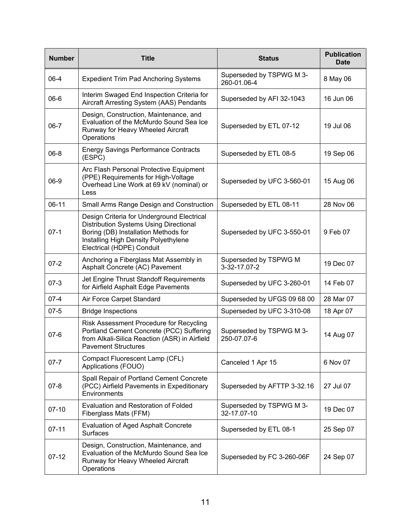| <b>Number</b> | <b>Title</b>                                                                                                                                                                                             | <b>Status</b>                           | <b>Publication</b><br><b>Date</b> |
|---------------|----------------------------------------------------------------------------------------------------------------------------------------------------------------------------------------------------------|-----------------------------------------|-----------------------------------|
| 06-4          | <b>Expedient Trim Pad Anchoring Systems</b>                                                                                                                                                              | Superseded by TSPWG M 3-<br>260-01.06-4 | 8 May 06                          |
| $06 - 6$      | Interim Swaged End Inspection Criteria for<br>Aircraft Arresting System (AAS) Pendants                                                                                                                   | Superseded by AFI 32-1043               | 16 Jun 06                         |
| $06 - 7$      | Design, Construction, Maintenance, and<br>Evaluation of the McMurdo Sound Sea Ice<br>Runway for Heavy Wheeled Aircraft<br>Operations                                                                     | Superseded by ETL 07-12                 | 19 Jul 06                         |
| $06 - 8$      | <b>Energy Savings Performance Contracts</b><br>(ESPC)                                                                                                                                                    | Superseded by ETL 08-5                  | 19 Sep 06                         |
| 06-9          | Arc Flash Personal Protective Equipment<br>(PPE) Requirements for High-Voltage<br>Overhead Line Work at 69 kV (nominal) or<br>Less                                                                       | Superseded by UFC 3-560-01              | 15 Aug 06                         |
| $06-11$       | Small Arms Range Design and Construction                                                                                                                                                                 | Superseded by ETL 08-11                 | 28 Nov 06                         |
| $07-1$        | Design Criteria for Underground Electrical<br><b>Distribution Systems Using Directional</b><br>Boring (DB) Installation Methods for<br>Installing High Density Polyethylene<br>Electrical (HDPE) Conduit | Superseded by UFC 3-550-01              | 9 Feb 07                          |
| $07 - 2$      | Anchoring a Fiberglass Mat Assembly in<br>Asphalt Concrete (AC) Pavement                                                                                                                                 | Superseded by TSPWG M<br>3-32-17.07-2   | 19 Dec 07                         |
| $07 - 3$      | Jet Engine Thrust Standoff Requirements<br>for Airfield Asphalt Edge Pavements                                                                                                                           | Superseded by UFC 3-260-01              | 14 Feb 07                         |
| $07 - 4$      | Air Force Carpet Standard                                                                                                                                                                                | Superseded by UFGS 09 68 00             | 28 Mar 07                         |
| $07 - 5$      | <b>Bridge Inspections</b>                                                                                                                                                                                | Superseded by UFC 3-310-08              | 18 Apr 07                         |
| $07 - 6$      | Risk Assessment Procedure for Recycling<br>Portland Cement Concrete (PCC) Suffering<br>from Alkali-Silica Reaction (ASR) in Airfield<br><b>Pavement Structures</b>                                       | Superseded by TSPWG M 3-<br>250-07.07-6 | 14 Aug 07                         |
| $07 - 7$      | Compact Fluorescent Lamp (CFL)<br>Applications (FOUO)                                                                                                                                                    | Canceled 1 Apr 15                       | 6 Nov 07                          |
| $07 - 8$      | Spall Repair of Portland Cement Concrete<br>(PCC) Airfield Pavements in Expeditionary<br>Environments                                                                                                    | Superseded by AFTTP 3-32.16             | 27 Jul 07                         |
| $07-10$       | Evaluation and Restoration of Folded<br>Fiberglass Mats (FFM)                                                                                                                                            | Superseded by TSPWG M 3-<br>32-17.07-10 | 19 Dec 07                         |
| $07 - 11$     | <b>Evaluation of Aged Asphalt Concrete</b><br><b>Surfaces</b>                                                                                                                                            | Superseded by ETL 08-1                  | 25 Sep 07                         |
| $07 - 12$     | Design, Construction, Maintenance, and<br>Evaluation of the McMurdo Sound Sea Ice<br>Runway for Heavy Wheeled Aircraft<br>Operations                                                                     | Superseded by FC 3-260-06F              | 24 Sep 07                         |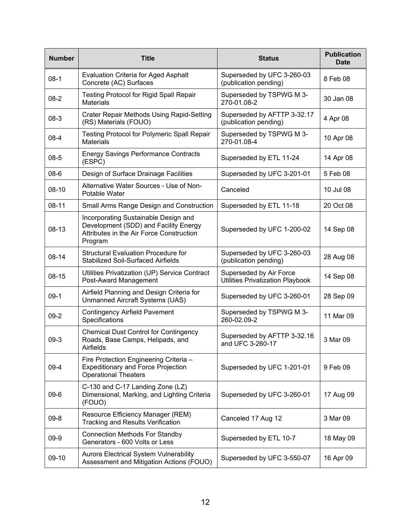| <b>Number</b> | <b>Title</b>                                                                                                                         | <b>Status</b>                                                      | <b>Publication</b><br><b>Date</b> |
|---------------|--------------------------------------------------------------------------------------------------------------------------------------|--------------------------------------------------------------------|-----------------------------------|
| $08-1$        | <b>Evaluation Criteria for Aged Asphalt</b><br>Concrete (AC) Surfaces                                                                | Superseded by UFC 3-260-03<br>(publication pending)                | 8 Feb 08                          |
| $08-2$        | <b>Testing Protocol for Rigid Spall Repair</b><br><b>Materials</b>                                                                   | Superseded by TSPWG M 3-<br>270-01.08-2                            | 30 Jan 08                         |
| $08-3$        | <b>Crater Repair Methods Using Rapid-Setting</b><br>(RS) Materials (FOUO)                                                            | Superseded by AFTTP 3-32.17<br>(publication pending)               | 4 Apr 08                          |
| $08-4$        | <b>Testing Protocol for Polymeric Spall Repair</b><br><b>Materials</b>                                                               | Superseded by TSPWG M 3-<br>270-01.08-4                            | 10 Apr 08                         |
| $08 - 5$      | <b>Energy Savings Performance Contracts</b><br>(ESPC)                                                                                | Superseded by ETL 11-24                                            | 14 Apr 08                         |
| $08 - 6$      | Design of Surface Drainage Facilities                                                                                                | Superseded by UFC 3-201-01                                         | 5 Feb 08                          |
| $08-10$       | Alternative Water Sources - Use of Non-<br>Potable Water                                                                             | Canceled                                                           | 10 Jul 08                         |
| $08 - 11$     | <b>Small Arms Range Design and Construction</b>                                                                                      | Superseded by ETL 11-18                                            | 20 Oct 08                         |
| 08-13         | Incorporating Sustainable Design and<br>Development (SDD) and Facility Energy<br>Attributes in the Air Force Construction<br>Program | Superseded by UFC 1-200-02                                         | 14 Sep 08                         |
| 08-14         | <b>Structural Evaluation Procedure for</b><br><b>Stabilized Soil-Surfaced Airfields</b>                                              | Superseded by UFC 3-260-03<br>(publication pending)                | 28 Aug 08                         |
| 08-15         | Utilities Privatization (UP) Service Contract<br>Post-Award Management                                                               | Superseded by Air Force<br><b>Utilities Privatization Playbook</b> | 14 Sep 08                         |
| $09-1$        | Airfield Planning and Design Criteria for<br>Unmanned Aircraft Systems (UAS)                                                         | Superseded by UFC 3-260-01                                         | 28 Sep 09                         |
| $09-2$        | <b>Contingency Airfield Pavement</b><br>Specifications                                                                               | Superseded by TSPWG M 3-<br>260-02.09-2                            | 11 Mar 09                         |
| $09-3$        | <b>Chemical Dust Control for Contingency</b><br>Roads, Base Camps, Helipads, and<br>Airfields                                        | Superseded by AFTTP 3-32.16<br>and UFC 3-260-17                    | 3 Mar 09                          |
| $09-4$        | Fire Protection Engineering Criteria -<br><b>Expeditionary and Force Projection</b><br><b>Operational Theaters</b>                   | Superseded by UFC 1-201-01                                         | 9 Feb 09                          |
| $09 - 6$      | C-130 and C-17 Landing Zone (LZ)<br>Dimensional, Marking, and Lighting Criteria<br>(FOUO)                                            | Superseded by UFC 3-260-01                                         | 17 Aug 09                         |
| $09 - 8$      | Resource Efficiency Manager (REM)<br><b>Tracking and Results Verification</b>                                                        | Canceled 17 Aug 12                                                 | 3 Mar 09                          |
| $09-9$        | <b>Connection Methods For Standby</b><br>Generators - 600 Volts or Less                                                              | Superseded by ETL 10-7                                             | 18 May 09                         |
| 09-10         | Aurora Electrical System Vulnerability<br>Assessment and Mitigation Actions (FOUO)                                                   | Superseded by UFC 3-550-07                                         | 16 Apr 09                         |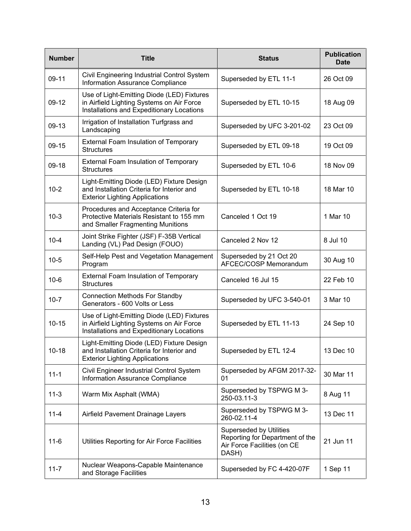| <b>Number</b> | <b>Title</b>                                                                                                                         | <b>Status</b>                                                                                             | <b>Publication</b><br><b>Date</b> |
|---------------|--------------------------------------------------------------------------------------------------------------------------------------|-----------------------------------------------------------------------------------------------------------|-----------------------------------|
| 09-11         | Civil Engineering Industrial Control System<br><b>Information Assurance Compliance</b>                                               | Superseded by ETL 11-1                                                                                    | 26 Oct 09                         |
| 09-12         | Use of Light-Emitting Diode (LED) Fixtures<br>in Airfield Lighting Systems on Air Force<br>Installations and Expeditionary Locations | Superseded by ETL 10-15                                                                                   | 18 Aug 09                         |
| 09-13         | Irrigation of Installation Turfgrass and<br>Landscaping                                                                              | Superseded by UFC 3-201-02                                                                                | 23 Oct 09                         |
| 09-15         | <b>External Foam Insulation of Temporary</b><br><b>Structures</b>                                                                    | Superseded by ETL 09-18                                                                                   | 19 Oct 09                         |
| $09-18$       | External Foam Insulation of Temporary<br><b>Structures</b>                                                                           | Superseded by ETL 10-6                                                                                    | 18 Nov 09                         |
| $10 - 2$      | Light-Emitting Diode (LED) Fixture Design<br>and Installation Criteria for Interior and<br><b>Exterior Lighting Applications</b>     | Superseded by ETL 10-18                                                                                   | 18 Mar 10                         |
| $10-3$        | Procedures and Acceptance Criteria for<br>Protective Materials Resistant to 155 mm<br>and Smaller Fragmenting Munitions              | Canceled 1 Oct 19                                                                                         | 1 Mar 10                          |
| $10 - 4$      | Joint Strike Fighter (JSF) F-35B Vertical<br>Landing (VL) Pad Design (FOUO)                                                          | Canceled 2 Nov 12                                                                                         | 8 Jul 10                          |
| $10-5$        | Self-Help Pest and Vegetation Management<br>Program                                                                                  | Superseded by 21 Oct 20<br>AFCEC/COSP Memorandum                                                          | 30 Aug 10                         |
| $10-6$        | <b>External Foam Insulation of Temporary</b><br><b>Structures</b>                                                                    | Canceled 16 Jul 15                                                                                        | 22 Feb 10                         |
| $10 - 7$      | <b>Connection Methods For Standby</b><br>Generators - 600 Volts or Less                                                              | Superseded by UFC 3-540-01                                                                                | 3 Mar 10                          |
| $10 - 15$     | Use of Light-Emitting Diode (LED) Fixtures<br>in Airfield Lighting Systems on Air Force<br>Installations and Expeditionary Locations | Superseded by ETL 11-13                                                                                   | 24 Sep 10                         |
| $10 - 18$     | Light-Emitting Diode (LED) Fixture Design<br>and Installation Criteria for Interior and<br><b>Exterior Lighting Applications</b>     | Superseded by ETL 12-4                                                                                    | 13 Dec 10                         |
| $11 - 1$      | Civil Engineer Industrial Control System<br>Information Assurance Compliance                                                         | Superseded by AFGM 2017-32-<br>01                                                                         | 30 Mar 11                         |
| $11-3$        | Warm Mix Asphalt (WMA)                                                                                                               | Superseded by TSPWG M 3-<br>250-03.11-3                                                                   | 8 Aug 11                          |
| $11 - 4$      | Airfield Pavement Drainage Layers                                                                                                    | Superseded by TSPWG M 3-<br>260-02.11-4                                                                   | 13 Dec 11                         |
| $11 - 6$      | Utilities Reporting for Air Force Facilities                                                                                         | <b>Superseded by Utilities</b><br>Reporting for Department of the<br>Air Force Facilities (on CE<br>DASH) | 21 Jun 11                         |
| $11 - 7$      | Nuclear Weapons-Capable Maintenance<br>and Storage Facilities                                                                        | Superseded by FC 4-420-07F                                                                                | 1 Sep 11                          |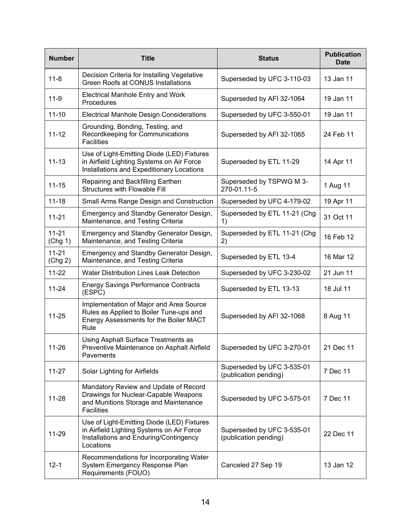| <b>Number</b>        | <b>Title</b>                                                                                                                                   | <b>Status</b>                                       | <b>Publication</b><br><b>Date</b> |
|----------------------|------------------------------------------------------------------------------------------------------------------------------------------------|-----------------------------------------------------|-----------------------------------|
| $11 - 8$             | Decision Criteria for Installing Vegetative<br><b>Green Roofs at CONUS Installations</b>                                                       | Superseded by UFC 3-110-03                          | 13 Jan 11                         |
| $11-9$               | <b>Electrical Manhole Entry and Work</b><br>Procedures                                                                                         | Superseded by AFI 32-1064                           | 19 Jan 11                         |
| $11 - 10$            | <b>Electrical Manhole Design Considerations</b>                                                                                                | Superseded by UFC 3-550-01                          | 19 Jan 11                         |
| $11 - 12$            | Grounding, Bonding, Testing, and<br>Recordkeeping for Communications<br><b>Facilities</b>                                                      | Superseded by AFI 32-1065                           | 24 Feb 11                         |
| $11 - 13$            | Use of Light-Emitting Diode (LED) Fixtures<br>in Airfield Lighting Systems on Air Force<br>Installations and Expeditionary Locations           | Superseded by ETL 11-29                             | 14 Apr 11                         |
| $11 - 15$            | Repairing and Backfilling Earthen<br>Structures with Flowable Fill                                                                             | Superseded by TSPWG M 3-<br>270-01.11-5             | 1 Aug 11                          |
| $11 - 18$            | Small Arms Range Design and Construction                                                                                                       | Superseded by UFC 4-179-02                          | 19 Apr 11                         |
| $11 - 21$            | Emergency and Standby Generator Design,<br>Maintenance, and Testing Criteria                                                                   | Superseded by ETL 11-21 (Chg<br>1)                  | 31 Oct 11                         |
| $11 - 21$<br>(Chg 1) | Emergency and Standby Generator Design,<br>Maintenance, and Testing Criteria                                                                   | Superseded by ETL 11-21 (Chg<br>2)                  | 16 Feb 12                         |
| $11 - 21$<br>(Chg 2) | Emergency and Standby Generator Design,<br>Maintenance, and Testing Criteria                                                                   | Superseded by ETL 13-4                              | 16 Mar 12                         |
| $11 - 22$            | <b>Water Distribution Lines Leak Detection</b>                                                                                                 | Superseded by UFC 3-230-02                          | 21 Jun 11                         |
| $11 - 24$            | <b>Energy Savings Performance Contracts</b><br>(ESPC)                                                                                          | Superseded by ETL 13-13                             | 18 Jul 11                         |
| $11 - 25$            | Implementation of Major and Area Source<br>Rules as Applied to Boiler Tune-ups and<br>Energy Assessments for the Boiler MACT<br>Rule           | Superseded by AFI 32-1068                           | 8 Aug 11                          |
| 11-26                | Using Asphalt Surface Treatments as<br>Preventive Maintenance on Asphalt Airfield<br>Pavements                                                 | Superseded by UFC 3-270-01                          | 21 Dec 11                         |
| $11 - 27$            | Solar Lighting for Airfields                                                                                                                   | Superseded by UFC 3-535-01<br>(publication pending) | 7 Dec 11                          |
| $11 - 28$            | Mandatory Review and Update of Record<br>Drawings for Nuclear-Capable Weapons<br>and Munitions Storage and Maintenance<br><b>Facilities</b>    | Superseded by UFC 3-575-01                          | 7 Dec 11                          |
| 11-29                | Use of Light-Emitting Diode (LED) Fixtures<br>in Airfield Lighting Systems on Air Force<br>Installations and Enduring/Contingency<br>Locations | Superseded by UFC 3-535-01<br>(publication pending) | 22 Dec 11                         |
| $12 - 1$             | Recommendations for Incorporating Water<br>System Emergency Response Plan<br>Requirements (FOUO)                                               | Canceled 27 Sep 19                                  | 13 Jan 12                         |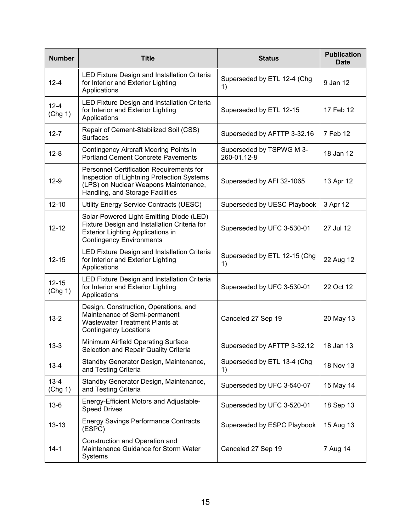| <b>Number</b>        | <b>Title</b>                                                                                                                                                            | <b>Status</b>                           | <b>Publication</b><br><b>Date</b> |
|----------------------|-------------------------------------------------------------------------------------------------------------------------------------------------------------------------|-----------------------------------------|-----------------------------------|
| $12 - 4$             | LED Fixture Design and Installation Criteria<br>for Interior and Exterior Lighting<br>Applications                                                                      | Superseded by ETL 12-4 (Chg<br>1)       | 9 Jan 12                          |
| $12 - 4$<br>(Chg 1)  | LED Fixture Design and Installation Criteria<br>for Interior and Exterior Lighting<br>Applications                                                                      | Superseded by ETL 12-15                 | 17 Feb 12                         |
| $12 - 7$             | Repair of Cement-Stabilized Soil (CSS)<br><b>Surfaces</b>                                                                                                               | Superseded by AFTTP 3-32.16             | 7 Feb 12                          |
| $12 - 8$             | <b>Contingency Aircraft Mooring Points in</b><br><b>Portland Cement Concrete Pavements</b>                                                                              | Superseded by TSPWG M 3-<br>260-01.12-8 | 18 Jan 12                         |
| $12-9$               | Personnel Certification Requirements for<br>Inspection of Lightning Protection Systems<br>(LPS) on Nuclear Weapons Maintenance,<br>Handling, and Storage Facilities     | Superseded by AFI 32-1065               | 13 Apr 12                         |
| $12 - 10$            | Utility Energy Service Contracts (UESC)                                                                                                                                 | Superseded by UESC Playbook             | 3 Apr 12                          |
| $12 - 12$            | Solar-Powered Light-Emitting Diode (LED)<br>Fixture Design and Installation Criteria for<br><b>Exterior Lighting Applications in</b><br><b>Contingency Environments</b> | Superseded by UFC 3-530-01              | 27 Jul 12                         |
| $12 - 15$            | LED Fixture Design and Installation Criteria<br>for Interior and Exterior Lighting<br>Applications                                                                      | Superseded by ETL 12-15 (Chg<br>1)      | 22 Aug 12                         |
| $12 - 15$<br>(Chg 1) | LED Fixture Design and Installation Criteria<br>for Interior and Exterior Lighting<br>Applications                                                                      | Superseded by UFC 3-530-01              | 22 Oct 12                         |
| $13 - 2$             | Design, Construction, Operations, and<br>Maintenance of Semi-permanent<br><b>Wastewater Treatment Plants at</b><br><b>Contingency Locations</b>                         | Canceled 27 Sep 19                      | 20 May 13                         |
| $13 - 3$             | Minimum Airfield Operating Surface<br>Selection and Repair Quality Criteria                                                                                             | Superseded by AFTTP 3-32.12             | 18 Jan 13                         |
| $13 - 4$             | Standby Generator Design, Maintenance,<br>and Testing Criteria                                                                                                          | Superseded by ETL 13-4 (Chg<br>1)       | 18 Nov 13                         |
| $13 - 4$<br>(Chg 1)  | Standby Generator Design, Maintenance,<br>and Testing Criteria                                                                                                          | Superseded by UFC 3-540-07              | 15 May 14                         |
| $13-6$               | Energy-Efficient Motors and Adjustable-<br><b>Speed Drives</b>                                                                                                          | Superseded by UFC 3-520-01              | 18 Sep 13                         |
| $13 - 13$            | <b>Energy Savings Performance Contracts</b><br>(ESPC)                                                                                                                   | Superseded by ESPC Playbook             | 15 Aug 13                         |
| $14-1$               | Construction and Operation and<br>Maintenance Guidance for Storm Water<br>Systems                                                                                       | Canceled 27 Sep 19                      | 7 Aug 14                          |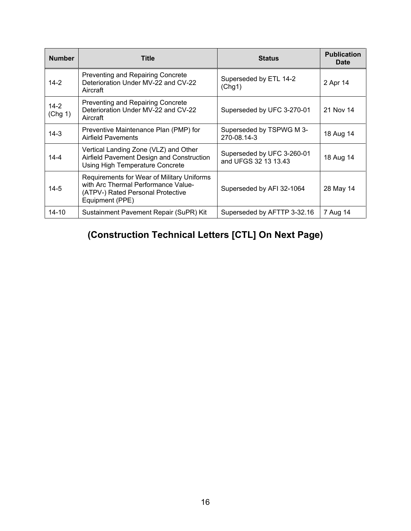| <b>Number</b>     | Title                                                                                                                                     | <b>Status</b>                                      | <b>Publication</b><br><b>Date</b> |
|-------------------|-------------------------------------------------------------------------------------------------------------------------------------------|----------------------------------------------------|-----------------------------------|
| $14 - 2$          | <b>Preventing and Repairing Concrete</b><br>Deterioration Under MV-22 and CV-22<br>Aircraft                                               | Superseded by ETL 14-2<br>(Chg1)                   | 2 Apr 14                          |
| $14-2$<br>(Chg 1) | Preventing and Repairing Concrete<br>Deterioration Under MV-22 and CV-22<br>Aircraft                                                      | Superseded by UFC 3-270-01                         | 21 Nov 14                         |
| $14-3$            | Preventive Maintenance Plan (PMP) for<br><b>Airfield Pavements</b>                                                                        | Superseded by TSPWG M 3-<br>270-08.14-3            | 18 Aug 14                         |
| 14-4              | Vertical Landing Zone (VLZ) and Other<br>Airfield Pavement Design and Construction<br>Using High Temperature Concrete                     | Superseded by UFC 3-260-01<br>and UFGS 32 13 13.43 | 18 Aug 14                         |
| $14 - 5$          | Requirements for Wear of Military Uniforms<br>with Arc Thermal Performance Value-<br>(ATPV-) Rated Personal Protective<br>Equipment (PPE) | Superseded by AFI 32-1064                          | 28 May 14                         |
| $14 - 10$         | Sustainment Pavement Repair (SuPR) Kit                                                                                                    | Superseded by AFTTP 3-32.16                        | 7 Aug 14                          |

## **(Construction Technical Letters [CTL] On Next Page)**